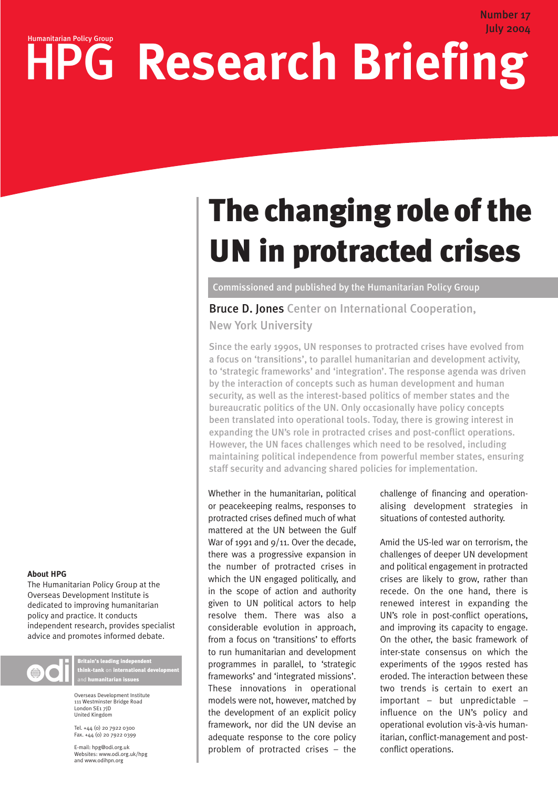## July 2004 HPG Research Briefing

# The changing role of the UN in protracted crises

Commissioned and published by the Humanitarian Policy Group

Bruce D. Jones Center on International Cooperation, New York University

Since the early 1990s, UN responses to protracted crises have evolved from a focus on 'transitions', to parallel humanitarian and development activity, to 'strategic frameworks' and 'integration'. The response agenda was driven by the interaction of concepts such as human development and human security, as well as the interest-based politics of member states and the bureaucratic politics of the UN. Only occasionally have policy concepts been translated into operational tools. Today, there is growing interest in expanding the UN's role in protracted crises and post-conflict operations. However, the UN faces challenges which need to be resolved, including maintaining political independence from powerful member states, ensuring staff security and advancing shared policies for implementation.

Whether in the humanitarian, political or peacekeeping realms, responses to protracted crises defined much of what mattered at the UN between the Gulf War of 1991 and 9/11. Over the decade, there was a progressive expansion in the number of protracted crises in which the UN engaged politically, and in the scope of action and authority given to UN political actors to help resolve them. There was also a considerable evolution in approach, from a focus on 'transitions' to efforts to run humanitarian and development programmes in parallel, to 'strategic frameworks' and 'integrated missions'. These innovations in operational models were not, however, matched by the development of an explicit policy framework, nor did the UN devise an adequate response to the core policy problem of protracted crises – the

challenge of financing and operationalising development strategies in situations of contested authority.

Number 17

Amid the US-led war on terrorism, the challenges of deeper UN development and political engagement in protracted crises are likely to grow, rather than recede. On the one hand, there is renewed interest in expanding the UN's role in post-conflict operations, and improving its capacity to engage. On the other, the basic framework of inter-state consensus on which the experiments of the 1990s rested has eroded. The interaction between these two trends is certain to exert an important – but unpredictable – influence on the UN's policy and operational evolution vis-à-vis humanitarian, conflict-management and postconflict operations.

#### **About HPG**

The Humanitarian Policy Group at the Overseas Development Institute is dedicated to improving humanitarian policy and practice. It conducts independent research, provides specialist advice and promotes informed debate.



Britain's leading independent think-tank on international development and humanitarian issues

Overseas Development Institute 111 Westminster Bridge Road London SE1 7JD United Kingdom

Tel. +44 (0) 20 7922 0300 Fax. +44 (0) 20 7922 0399

E-mail: hpg@odi.org.uk Websites: www.odi.org.uk/hpg and www.odihpn.org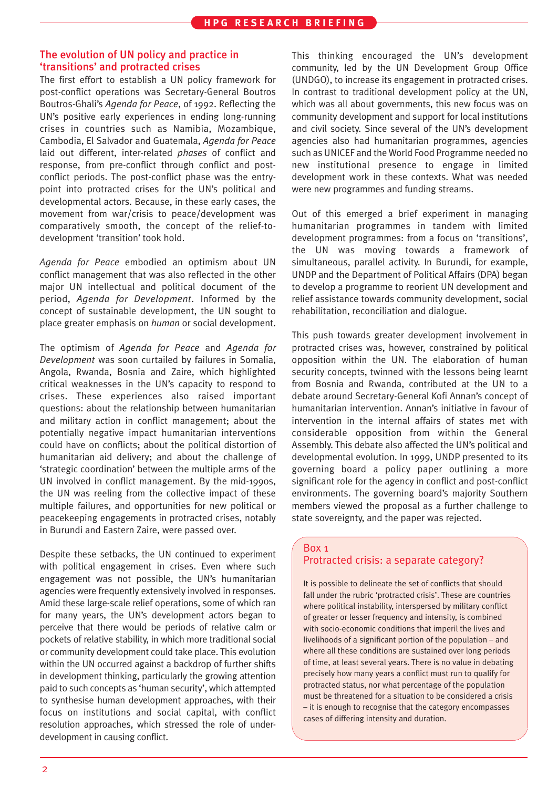#### The evolution of UN policy and practice in 'transitions' and protracted crises

The first effort to establish a UN policy framework for post-conflict operations was Secretary-General Boutros Boutros-Ghali's *Agenda for Peace*, of 1992. Reflecting the UN's positive early experiences in ending long-running crises in countries such as Namibia, Mozambique, Cambodia, El Salvador and Guatemala, *Agenda for Peace* laid out different, inter-related *phases* of conflict and response, from pre-conflict through conflict and postconflict periods. The post-conflict phase was the entrypoint into protracted crises for the UN's political and developmental actors. Because, in these early cases, the movement from war/crisis to peace/development was comparatively smooth, the concept of the relief-todevelopment 'transition' took hold.

*Agenda for Peace* embodied an optimism about UN conflict management that was also reflected in the other major UN intellectual and political document of the period, *Agenda for Development*. Informed by the concept of sustainable development, the UN sought to place greater emphasis on *human* or social development.

The optimism of *Agenda for Peace* and *Agenda for Development* was soon curtailed by failures in Somalia, Angola, Rwanda, Bosnia and Zaire, which highlighted critical weaknesses in the UN's capacity to respond to crises. These experiences also raised important questions: about the relationship between humanitarian and military action in conflict management; about the potentially negative impact humanitarian interventions could have on conflicts; about the political distortion of humanitarian aid delivery; and about the challenge of 'strategic coordination' between the multiple arms of the UN involved in conflict management. By the mid-1990s, the UN was reeling from the collective impact of these multiple failures, and opportunities for new political or peacekeeping engagements in protracted crises, notably in Burundi and Eastern Zaire, were passed over.

Despite these setbacks, the UN continued to experiment with political engagement in crises. Even where such engagement was not possible, the UN's humanitarian agencies were frequently extensively involved in responses. Amid these large-scale relief operations, some of which ran for many years, the UN's development actors began to perceive that there would be periods of relative calm or pockets of relative stability, in which more traditional social or community development could take place. This evolution within the UN occurred against a backdrop of further shifts in development thinking, particularly the growing attention paid to such concepts as 'human security', which attempted to synthesise human development approaches, with their focus on institutions and social capital, with conflict resolution approaches, which stressed the role of underdevelopment in causing conflict.

This thinking encouraged the UN's development community, led by the UN Development Group Office (UNDGO), to increase its engagement in protracted crises. In contrast to traditional development policy at the UN, which was all about governments, this new focus was on community development and support for local institutions and civil society. Since several of the UN's development agencies also had humanitarian programmes, agencies such as UNICEF and the World Food Programme needed no new institutional presence to engage in limited development work in these contexts. What was needed were new programmes and funding streams.

Out of this emerged a brief experiment in managing humanitarian programmes in tandem with limited development programmes: from a focus on 'transitions', the UN was moving towards a framework of simultaneous, parallel activity. In Burundi, for example, UNDP and the Department of Political Affairs (DPA) began to develop a programme to reorient UN development and relief assistance towards community development, social rehabilitation, reconciliation and dialogue.

This push towards greater development involvement in protracted crises was, however, constrained by political opposition within the UN. The elaboration of human security concepts, twinned with the lessons being learnt from Bosnia and Rwanda, contributed at the UN to a debate around Secretary-General Kofi Annan's concept of humanitarian intervention. Annan's initiative in favour of intervention in the internal affairs of states met with considerable opposition from within the General Assembly. This debate also affected the UN's political and developmental evolution. In 1999, UNDP presented to its governing board a policy paper outlining a more significant role for the agency in conflict and post-conflict environments. The governing board's majority Southern members viewed the proposal as a further challenge to state sovereignty, and the paper was rejected.

#### Box 1

### Protracted crisis: a separate category?

It is possible to delineate the set of conflicts that should fall under the rubric 'protracted crisis'. These are countries where political instability, interspersed by military conflict of greater or lesser frequency and intensity, is combined with socio-economic conditions that imperil the lives and livelihoods of a significant portion of the population – and where all these conditions are sustained over long periods of time, at least several years. There is no value in debating precisely how many years a conflict must run to qualify for protracted status, nor what percentage of the population must be threatened for a situation to be considered a crisis – it is enough to recognise that the category encompasses cases of differing intensity and duration.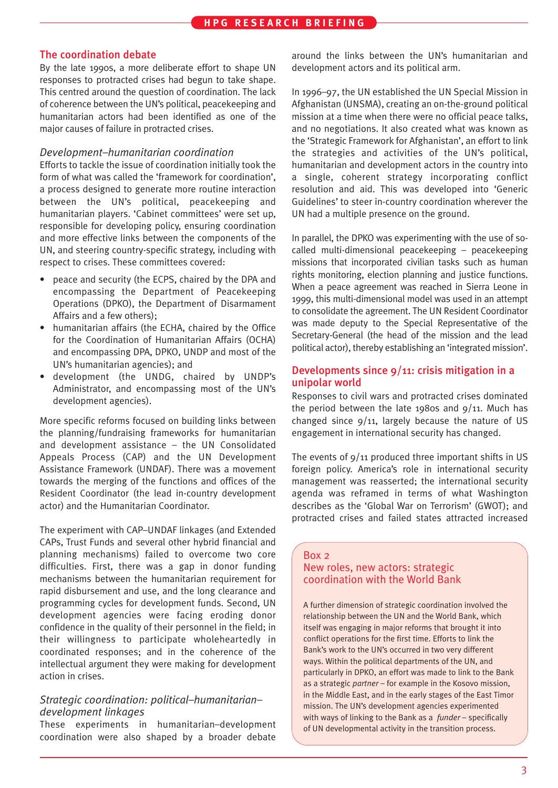### The coordination debate

By the late 1990s, a more deliberate effort to shape UN responses to protracted crises had begun to take shape. This centred around the question of coordination. The lack of coherence between the UN's political, peacekeeping and humanitarian actors had been identified as one of the major causes of failure in protracted crises.

#### *Development–humanitarian coordination*

Efforts to tackle the issue of coordination initially took the form of what was called the 'framework for coordination', a process designed to generate more routine interaction between the UN's political, peacekeeping and humanitarian players. 'Cabinet committees' were set up, responsible for developing policy, ensuring coordination and more effective links between the components of the UN, and steering country-specific strategy, including with respect to crises. These committees covered:

- peace and security (the ECPS, chaired by the DPA and encompassing the Department of Peacekeeping Operations (DPKO), the Department of Disarmament Affairs and a few others);
- humanitarian affairs (the ECHA, chaired by the Office for the Coordination of Humanitarian Affairs (OCHA) and encompassing DPA, DPKO, UNDP and most of the UN's humanitarian agencies); and
- development (the UNDG, chaired by UNDP's Administrator, and encompassing most of the UN's development agencies).

More specific reforms focused on building links between the planning/fundraising frameworks for humanitarian and development assistance – the UN Consolidated Appeals Process (CAP) and the UN Development Assistance Framework (UNDAF). There was a movement towards the merging of the functions and offices of the Resident Coordinator (the lead in-country development actor) and the Humanitarian Coordinator.

The experiment with CAP–UNDAF linkages (and Extended CAPs, Trust Funds and several other hybrid financial and planning mechanisms) failed to overcome two core difficulties. First, there was a gap in donor funding mechanisms between the humanitarian requirement for rapid disbursement and use, and the long clearance and programming cycles for development funds. Second, UN development agencies were facing eroding donor confidence in the quality of their personnel in the field; in their willingness to participate wholeheartedly in coordinated responses; and in the coherence of the intellectual argument they were making for development action in crises.

### *Strategic coordination: political–humanitarian– development linkages*

These experiments in humanitarian–development coordination were also shaped by a broader debate around the links between the UN's humanitarian and development actors and its political arm.

In 1996–97, the UN established the UN Special Mission in Afghanistan (UNSMA), creating an on-the-ground political mission at a time when there were no official peace talks, and no negotiations. It also created what was known as the 'Strategic Framework for Afghanistan', an effort to link the strategies and activities of the UN's political, humanitarian and development actors in the country into a single, coherent strategy incorporating conflict resolution and aid. This was developed into 'Generic Guidelines' to steer in-country coordination wherever the UN had a multiple presence on the ground.

In parallel, the DPKO was experimenting with the use of socalled multi-dimensional peacekeeping – peacekeeping missions that incorporated civilian tasks such as human rights monitoring, election planning and justice functions. When a peace agreement was reached in Sierra Leone in 1999, this multi-dimensional model was used in an attempt to consolidate the agreement. The UN Resident Coordinator was made deputy to the Special Representative of the Secretary-General (the head of the mission and the lead political actor), thereby establishing an 'integrated mission'.

### Developments since 9/11: crisis mitigation in a unipolar world

Responses to civil wars and protracted crises dominated the period between the late 1980s and  $9/11$ . Much has changed since 9/11, largely because the nature of US engagement in international security has changed.

The events of 9/11 produced three important shifts in US foreign policy. America's role in international security management was reasserted; the international security agenda was reframed in terms of what Washington describes as the 'Global War on Terrorism' (GWOT); and protracted crises and failed states attracted increased

#### Box 2 New roles, new actors: strategic coordination with the World Bank

A further dimension of strategic coordination involved the relationship between the UN and the World Bank, which itself was engaging in major reforms that brought it into conflict operations for the first time. Efforts to link the Bank's work to the UN's occurred in two very different ways. Within the political departments of the UN, and particularly in DPKO, an effort was made to link to the Bank as a strategic *partner* – for example in the Kosovo mission, in the Middle East, and in the early stages of the East Timor mission. The UN's development agencies experimented with ways of linking to the Bank as a *funder* – specifically of UN developmental activity in the transition process.